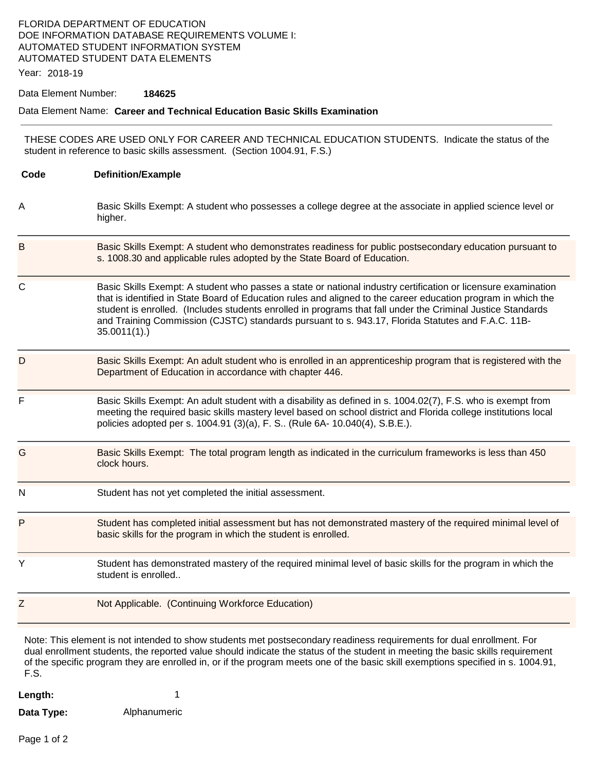# FLORIDA DEPARTMENT OF EDUCATION DOE INFORMATION DATABASE REQUIREMENTS VOLUME I: AUTOMATED STUDENT INFORMATION SYSTEM AUTOMATED STUDENT DATA ELEMENTS

Year: 2018-19

#### Data Element Number: **184625**

### Data Element Name: **Career and Technical Education Basic Skills Examination**

THESE CODES ARE USED ONLY FOR CAREER AND TECHNICAL EDUCATION STUDENTS. Indicate the status of the student in reference to basic skills assessment. (Section 1004.91, F.S.)

| Code         | <b>Definition/Example</b>                                                                                                                                                                                                                                                                                                                                                                                                                                         |
|--------------|-------------------------------------------------------------------------------------------------------------------------------------------------------------------------------------------------------------------------------------------------------------------------------------------------------------------------------------------------------------------------------------------------------------------------------------------------------------------|
| Α            | Basic Skills Exempt: A student who possesses a college degree at the associate in applied science level or<br>higher.                                                                                                                                                                                                                                                                                                                                             |
| Β            | Basic Skills Exempt: A student who demonstrates readiness for public postsecondary education pursuant to<br>s. 1008.30 and applicable rules adopted by the State Board of Education.                                                                                                                                                                                                                                                                              |
| $\mathsf{C}$ | Basic Skills Exempt: A student who passes a state or national industry certification or licensure examination<br>that is identified in State Board of Education rules and aligned to the career education program in which the<br>student is enrolled. (Includes students enrolled in programs that fall under the Criminal Justice Standards<br>and Training Commission (CJSTC) standards pursuant to s. 943.17, Florida Statutes and F.A.C. 11B-<br>35.0011(1). |
| D            | Basic Skills Exempt: An adult student who is enrolled in an apprenticeship program that is registered with the<br>Department of Education in accordance with chapter 446.                                                                                                                                                                                                                                                                                         |
| F            | Basic Skills Exempt: An adult student with a disability as defined in s. 1004.02(7), F.S. who is exempt from<br>meeting the required basic skills mastery level based on school district and Florida college institutions local<br>policies adopted per s. 1004.91 (3)(a), F. S (Rule 6A- 10.040(4), S.B.E.).                                                                                                                                                     |
| G            | Basic Skills Exempt: The total program length as indicated in the curriculum frameworks is less than 450<br>clock hours.                                                                                                                                                                                                                                                                                                                                          |
| N            | Student has not yet completed the initial assessment.                                                                                                                                                                                                                                                                                                                                                                                                             |
| P            | Student has completed initial assessment but has not demonstrated mastery of the required minimal level of<br>basic skills for the program in which the student is enrolled.                                                                                                                                                                                                                                                                                      |
| Y            | Student has demonstrated mastery of the required minimal level of basic skills for the program in which the<br>student is enrolled                                                                                                                                                                                                                                                                                                                                |
| Z            | Not Applicable. (Continuing Workforce Education)                                                                                                                                                                                                                                                                                                                                                                                                                  |
|              | Note: This element is not intended to ebour students met nectases plan; readinges requirements for dual enrollment. For                                                                                                                                                                                                                                                                                                                                           |

Note: This element is not intended to show students met postsecondary readiness requirements for dual enrollment. For dual enrollment students, the reported value should indicate the status of the student in meeting the basic skills requirement of the specific program they are enrolled in, or if the program meets one of the basic skill exemptions specified in s. 1004.91, F.S.

| Length:    |              |
|------------|--------------|
| Data Type: | Alphanumeric |